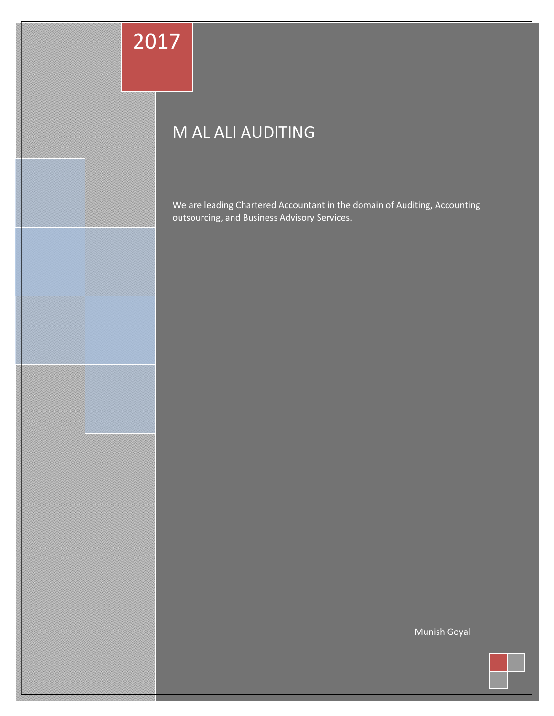# 2017

11111111111111111

23565e5eeeter

## M AL ALI AUDITING

We are leading Chartered Accountant in the domain of Auditing, Accounting outsourcing, and Business Advisory Services.

Munish Goyal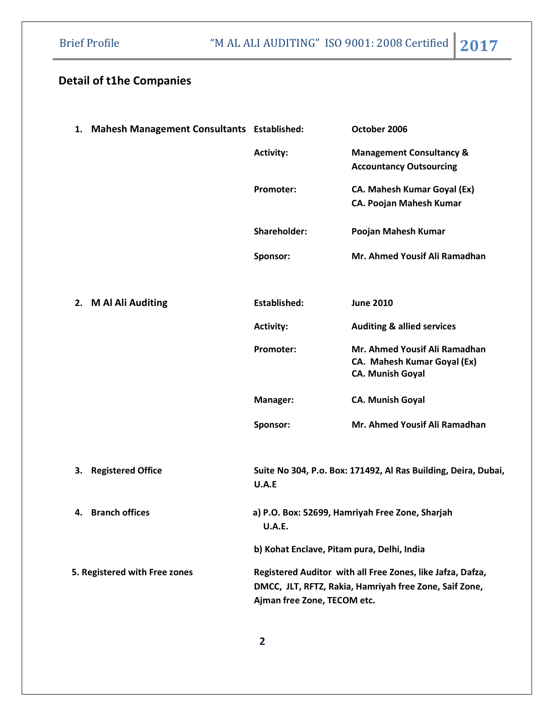### Detail of t1he Companies

|                               | 1. Mahesh Management Consultants Established: |                                                                                                                                                     | October 2006                                                                            |
|-------------------------------|-----------------------------------------------|-----------------------------------------------------------------------------------------------------------------------------------------------------|-----------------------------------------------------------------------------------------|
|                               |                                               | <b>Activity:</b>                                                                                                                                    | <b>Management Consultancy &amp;</b><br><b>Accountancy Outsourcing</b>                   |
|                               |                                               | Promoter:                                                                                                                                           | CA. Mahesh Kumar Goyal (Ex)<br><b>CA. Poojan Mahesh Kumar</b>                           |
|                               |                                               | Shareholder:                                                                                                                                        | Poojan Mahesh Kumar                                                                     |
|                               |                                               | Sponsor:                                                                                                                                            | Mr. Ahmed Yousif Ali Ramadhan                                                           |
|                               | 2. M Al Ali Auditing                          | Established:                                                                                                                                        | <b>June 2010</b>                                                                        |
|                               |                                               | <b>Activity:</b>                                                                                                                                    | <b>Auditing &amp; allied services</b>                                                   |
|                               |                                               | Promoter:                                                                                                                                           | Mr. Ahmed Yousif Ali Ramadhan<br>CA. Mahesh Kumar Goyal (Ex)<br><b>CA. Munish Goyal</b> |
|                               |                                               | Manager:                                                                                                                                            | <b>CA. Munish Goyal</b>                                                                 |
|                               |                                               | Sponsor:                                                                                                                                            | Mr. Ahmed Yousif Ali Ramadhan                                                           |
| 3.                            | <b>Registered Office</b>                      | Suite No 304, P.o. Box: 171492, Al Ras Building, Deira, Dubai,<br>U.A.E                                                                             |                                                                                         |
| 4.                            | <b>Branch offices</b>                         | a) P.O. Box: 52699, Hamriyah Free Zone, Sharjah<br><b>U.A.E.</b>                                                                                    |                                                                                         |
|                               |                                               | b) Kohat Enclave, Pitam pura, Delhi, India                                                                                                          |                                                                                         |
| 5. Registered with Free zones |                                               | Registered Auditor with all Free Zones, like Jafza, Dafza,<br>DMCC, JLT, RFTZ, Rakia, Hamriyah free Zone, Saif Zone,<br>Ajman free Zone, TECOM etc. |                                                                                         |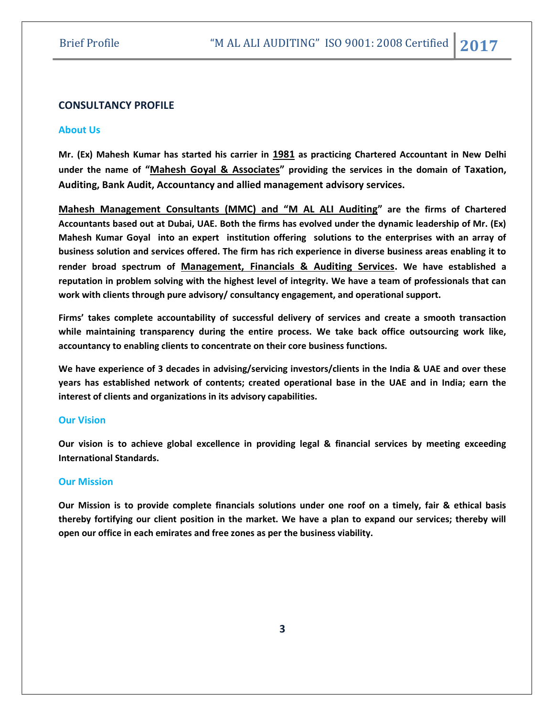#### CONSULTANCY PROFILE

#### About Us

Mr. (Ex) Mahesh Kumar has started his carrier in 1981 as practicing Chartered Accountant in New Delhi under the name of "Mahesh Goyal & Associates" providing the services in the domain of Taxation, Auditing, Bank Audit, Accountancy and allied management advisory services.

Mahesh Management Consultants (MMC) and "M AL ALI Auditing" are the firms of Chartered Accountants based out at Dubai, UAE. Both the firms has evolved under the dynamic leadership of Mr. (Ex) Mahesh Kumar Goyal into an expert institution offering solutions to the enterprises with an array of business solution and services offered. The firm has rich experience in diverse business areas enabling it to render broad spectrum of Management, Financials & Auditing Services. We have established a reputation in problem solving with the highest level of integrity. We have a team of professionals that can work with clients through pure advisory/ consultancy engagement, and operational support.

Firms' takes complete accountability of successful delivery of services and create a smooth transaction while maintaining transparency during the entire process. We take back office outsourcing work like, accountancy to enabling clients to concentrate on their core business functions.

We have experience of 3 decades in advising/servicing investors/clients in the India & UAE and over these years has established network of contents; created operational base in the UAE and in India; earn the interest of clients and organizations in its advisory capabilities.

#### Our Vision

Our vision is to achieve global excellence in providing legal & financial services by meeting exceeding International Standards.

#### Our Mission

Our Mission is to provide complete financials solutions under one roof on a timely, fair & ethical basis thereby fortifying our client position in the market. We have a plan to expand our services; thereby will open our office in each emirates and free zones as per the business viability.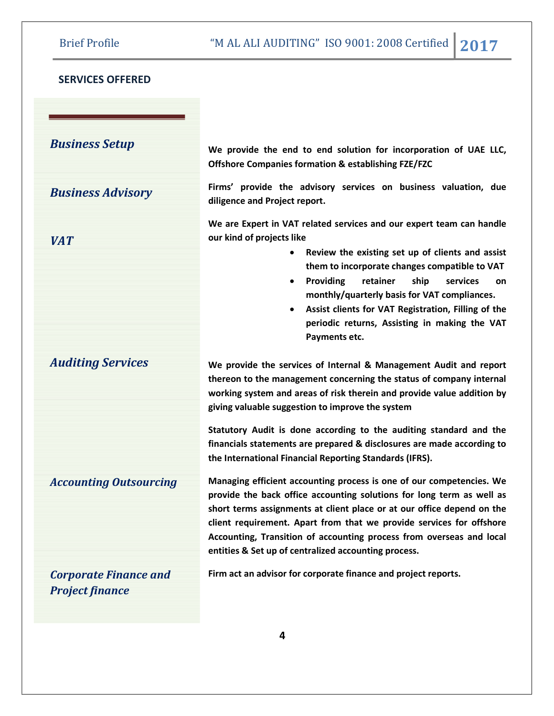### SERVICES OFFERED

Business Setup

Business Advisory

VAT

Auditing Services

Accounting Outsourcing

Corporate Finance and Project finance

We provide the end to end solution for incorporation of UAE LLC, Offshore Companies formation & establishing FZE/FZC

Firms' provide the advisory services on business valuation, due diligence and Project report.

We are Expert in VAT related services and our expert team can handle our kind of projects like

- Review the existing set up of clients and assist them to incorporate changes compatible to VAT
- Providing retainer ship services on monthly/quarterly basis for VAT compliances.
- Assist clients for VAT Registration, Filling of the periodic returns, Assisting in making the VAT Payments etc.

We provide the services of Internal & Management Audit and report thereon to the management concerning the status of company internal working system and areas of risk therein and provide value addition by giving valuable suggestion to improve the system

Statutory Audit is done according to the auditing standard and the financials statements are prepared & disclosures are made according to the International Financial Reporting Standards (IFRS).

Managing efficient accounting process is one of our competencies. We provide the back office accounting solutions for long term as well as short terms assignments at client place or at our office depend on the client requirement. Apart from that we provide services for offshore Accounting, Transition of accounting process from overseas and local entities & Set up of centralized accounting process.

Firm act an advisor for corporate finance and project reports.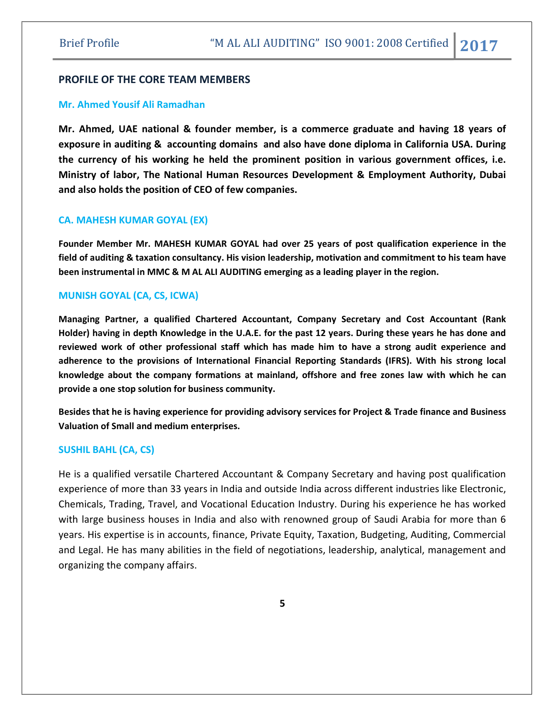#### PROFILE OF THE CORE TEAM MEMBERS

#### Mr. Ahmed Yousif Ali Ramadhan

Mr. Ahmed, UAE national & founder member, is a commerce graduate and having 18 years of exposure in auditing & accounting domains and also have done diploma in California USA. During the currency of his working he held the prominent position in various government offices, i.e. Ministry of labor, The National Human Resources Development & Employment Authority, Dubai and also holds the position of CEO of few companies.

#### CA. MAHESH KUMAR GOYAL (EX)

Founder Member Mr. MAHESH KUMAR GOYAL had over 25 years of post qualification experience in the field of auditing & taxation consultancy. His vision leadership, motivation and commitment to his team have been instrumental in MMC & M AL ALI AUDITING emerging as a leading player in the region.

#### MUNISH GOYAL (CA, CS, ICWA)

Managing Partner, a qualified Chartered Accountant, Company Secretary and Cost Accountant (Rank Holder) having in depth Knowledge in the U.A.E. for the past 12 years. During these years he has done and reviewed work of other professional staff which has made him to have a strong audit experience and adherence to the provisions of International Financial Reporting Standards (IFRS). With his strong local knowledge about the company formations at mainland, offshore and free zones law with which he can provide a one stop solution for business community.

Besides that he is having experience for providing advisory services for Project & Trade finance and Business Valuation of Small and medium enterprises.

#### SUSHIL BAHL (CA, CS)

He is a qualified versatile Chartered Accountant & Company Secretary and having post qualification experience of more than 33 years in India and outside India across different industries like Electronic, Chemicals, Trading, Travel, and Vocational Education Industry. During his experience he has worked with large business houses in India and also with renowned group of Saudi Arabia for more than 6 years. His expertise is in accounts, finance, Private Equity, Taxation, Budgeting, Auditing, Commercial and Legal. He has many abilities in the field of negotiations, leadership, analytical, management and organizing the company affairs.